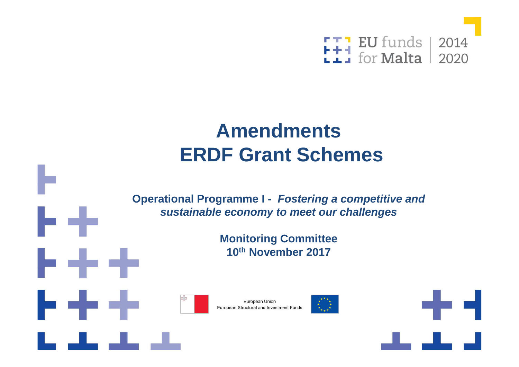

#### **AmendmentsERDF Grant Schemes**

**Operational Programme I - Fostering a competitive and sustainable economy to meet our challenges** 

> **Monitoring Committee10th November 2017**



b the



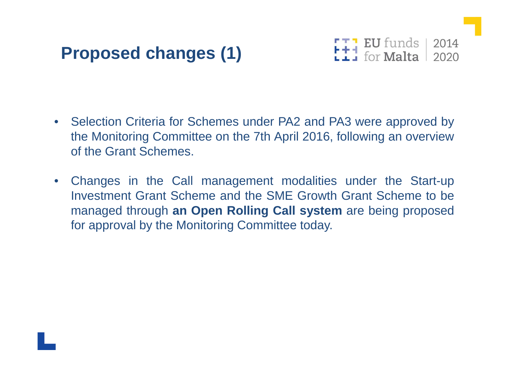## **Proposed changes (1)**



- $\bullet$  Selection Criteria for Schemes under PA2 and PA3 were approved by the Monitoring Committee on the 7th April 2016, following an overviewof the Grant Schemes.
- $\bullet$  Changes in the Call management modalities under the Start-up Investment Grant Scheme and the SME Growth Grant Scheme to be managed through **an Open Rolling Call system** are being proposed for approval by the Monitoring Committee today.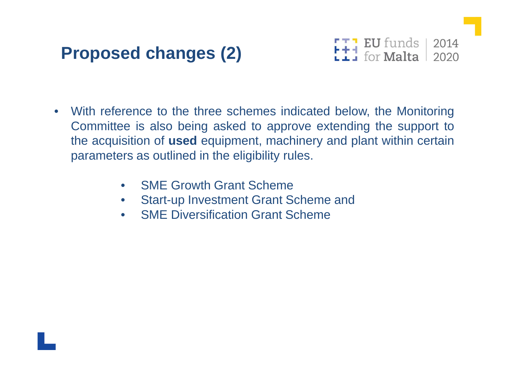## **Proposed changes (2)**



- $\bullet$  With reference to the three schemes indicated below, the Monitoring Committee is also being asked to approve extending the support to the acquisition of **used** equipment, machinery and plant within certain parameters as outlined in the eligibility rules.
	- $\bullet$ SME Growth Grant Scheme
	- Start-up Investment Grant Scheme and $\bullet$
	- $\bullet$ SME Diversification Grant Scheme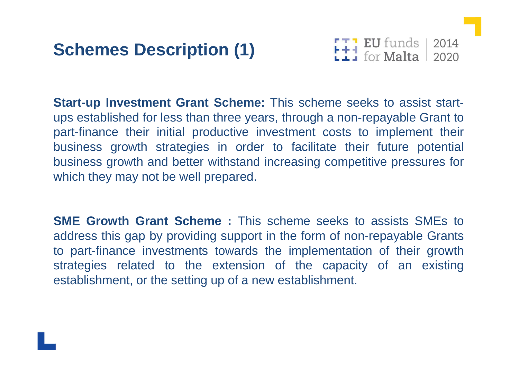## **Schemes Description (1)**



**Start-up Investment Grant Scheme:** This scheme seeks to assist startups established for less than three years, through <sup>a</sup> non-repayable Grant to part-finance their initial productive investment costs to implement their business growth strategies in order to facilitate their future potential business growth and better withstand increasing competitive pressures forwhich they may not be well prepared.

**SME Growth Grant Scheme :** This scheme seeks to assists SMEs toaddress this gap by providing support in the form of non-repayable Grants<br>to port finance, investments towards the implementation of their growth to part-finance investments towards the implementation of their growth strategies related to the extension of the capacity of an existingestablishment, or the setting up of <sup>a</sup> new establishment.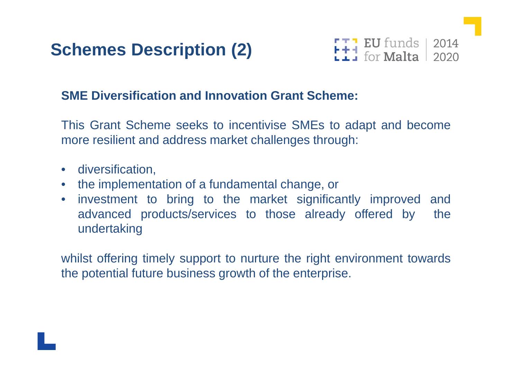



#### **SME Diversification and Innovation Grant Scheme:**

This Grant Scheme seeks to incentivise SMEs to adapt and becomemore resilient and address market challenges through:

- diversification,
- the implementation of <sup>a</sup> fundamental change, or
- $\bullet$  investment to bring to the market significantly improved andthe advanced products/services to those already offered by undertaking

whilst offering timely support to nurture the right environment towardsthe potential future business growth of the enterprise.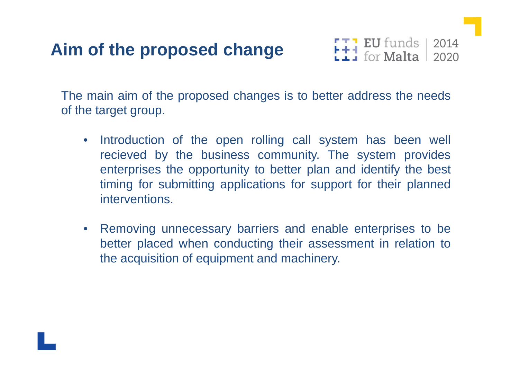# **Aim of the proposed change**



The main aim of the proposed changes is to better address the needs<br>of the terget aroun of the target group.

- $\bullet$ Introduction of the open rolling call system has been well<br>regioned by the business community. The system provides recieved by the business community. The system provides<br>enterprises the eppertunity to better plan and identify the best enterprises the opportunity to better plan and identify the best timing for submitting applications for support for their plannedinterventions.
- $\bullet$  Removing unnecessary barriers and enable enterprises to be better placed when conducting their assessment in relation to the acquisition of equipment and machinery.